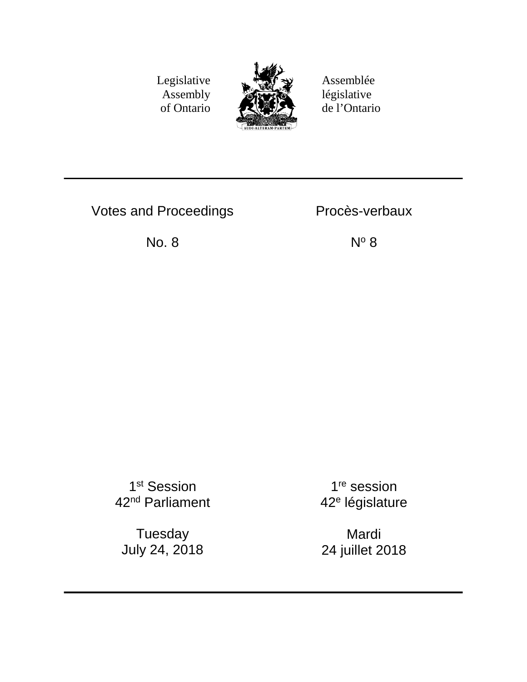Legislative Assembly of Ontario



Assemblée législative de l'Ontario

Votes and Proceedings **Proces-verbaux** 

No. 8  $N^{\circ}$  8

1st Session 42nd Parliament

Tuesday July 24, 2018

1<sup>re</sup> session 42<sup>e</sup> législature

Mardi 24 juillet 2018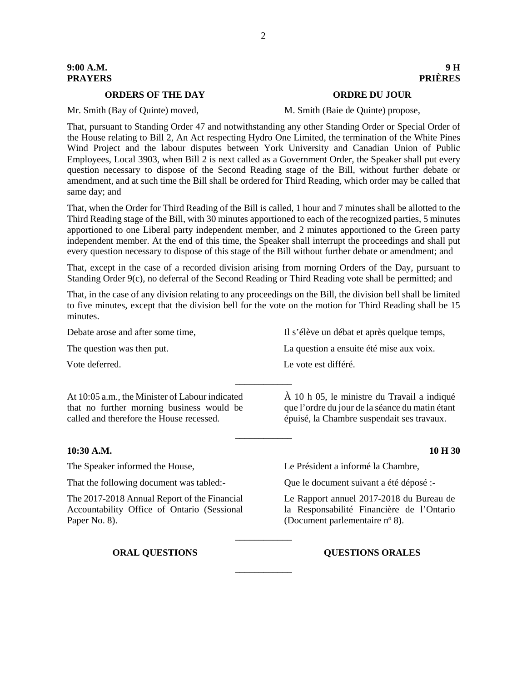# **9:00 A.M. 9 H PRAYERS PRIÈRES**

### **ORDERS OF THE DAY ORDRE DU JOUR**

Mr. Smith (Bay of Quinte) moved, M. Smith (Baie de Quinte) propose,

That, pursuant to Standing Order 47 and notwithstanding any other Standing Order or Special Order of the House relating to Bill 2, An Act respecting Hydro One Limited, the termination of the White Pines Wind Project and the labour disputes between York University and Canadian Union of Public Employees, Local 3903, when Bill 2 is next called as a Government Order, the Speaker shall put every question necessary to dispose of the Second Reading stage of the Bill, without further debate or amendment, and at such time the Bill shall be ordered for Third Reading, which order may be called that same day; and

That, when the Order for Third Reading of the Bill is called, 1 hour and 7 minutes shall be allotted to the Third Reading stage of the Bill, with 30 minutes apportioned to each of the recognized parties, 5 minutes apportioned to one Liberal party independent member, and 2 minutes apportioned to the Green party independent member. At the end of this time, the Speaker shall interrupt the proceedings and shall put every question necessary to dispose of this stage of the Bill without further debate or amendment; and

That, except in the case of a recorded division arising from morning Orders of the Day, pursuant to Standing Order 9(c), no deferral of the Second Reading or Third Reading vote shall be permitted; and

That, in the case of any division relating to any proceedings on the Bill, the division bell shall be limited to five minutes, except that the division bell for the vote on the motion for Third Reading shall be 15 minutes.

Debate arose and after some time, Il s'élève un débat et après quelque temps, The question was then put. The question a ensuite eté mise aux voix.

\_\_\_\_\_\_\_\_\_\_\_\_

\_\_\_\_\_\_\_\_\_\_\_\_

\_\_\_\_\_\_\_\_\_\_\_\_

At 10:05 a.m., the Minister of Labour indicated that no further morning business would be called and therefore the House recessed.

# **10:30 A.M. 10 H 30**

The Speaker informed the House, Le Président a informé la Chambre,

That the following document was tabled:- Que le document suivant a été déposé :-

The 2017-2018 Annual Report of the Financial Accountability Office of Ontario (Sessional Paper No. 8).

Le Rapport annuel 2017-2018 du Bureau de la Responsabilité Financière de l'Ontario (Document parlementaire  $n^{\circ}$  8).

**ORAL QUESTIONS QUESTIONS ORALES**

Vote deferred. Le vote est différé.

\_\_\_\_\_\_\_\_\_\_\_\_ À 10 h 05, le ministre du Travail a indiqué que l'ordre du jour de la séance du matin étant

épuisé, la Chambre suspendait ses travaux.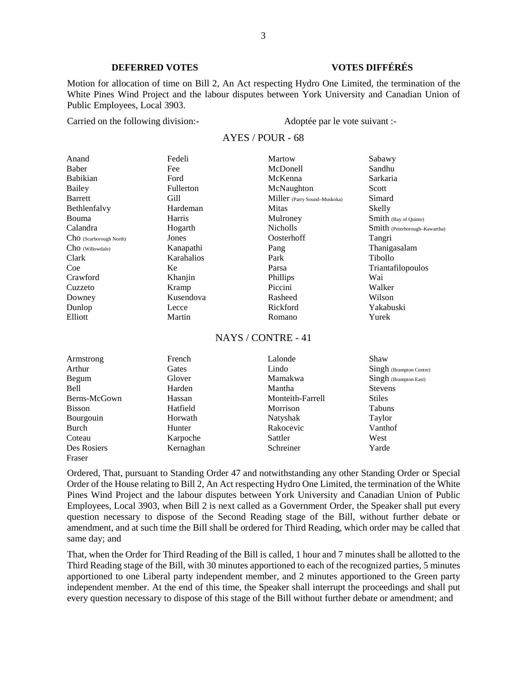# **DEFERRED VOTES VOTES DIFFÉRÉS**

Motion for allocation of time on Bill 2, An Act respecting Hydro One Limited, the termination of the White Pines Wind Project and the labour disputes between York University and Canadian Union of Public Employees, Local 3903.

Carried on the following division:- Adoptée par le vote suivant :-

### AYES / POUR - 68

| Anand                   | Fedeli           | Martow                       | Sabawy                        |
|-------------------------|------------------|------------------------------|-------------------------------|
| Baber                   | Fee              | McDonell                     | Sandhu                        |
| <b>Babikian</b>         | Ford             | McKenna                      | Sarkaria                      |
| Bailey                  | <b>Fullerton</b> | McNaughton                   | Scott                         |
| <b>Barrett</b>          | Gill             | Miller (Parry Sound-Muskoka) | Simard                        |
| Bethlenfalvy            | Hardeman         | <b>Mitas</b>                 | Skelly                        |
| Bouma                   | Harris           | Mulroney                     | Smith (Bay of Quinte)         |
| Calandra                | Hogarth          | <b>Nicholls</b>              | Smith (Peterborough-Kawartha) |
| ChO (Scarborough North) | Jones            | Oosterhoff                   | Tangri                        |
| Cho (Willowdale)        | Kanapathi        | Pang                         | Thanigasalam                  |
| Clark                   | Karahalios       | Park                         | Tibollo                       |
| Coe                     | Ke               | Parsa                        | Triantafilopoulos             |
| Crawford                | Khanjin          | Phillips                     | Wai                           |
| Cuzzeto                 | Kramp            | Piccini                      | Walker                        |
| Downey                  | Kusendova        | Rasheed                      | Wilson                        |
| Dunlop                  | Lecce            | Rickford                     | Yakabuski                     |
| Elliott                 | Martin           | Romano                       | Yurek                         |

### NAYS / CONTRE - 41

| Armstrong     | French    | Lalonde          | Shaw                    |
|---------------|-----------|------------------|-------------------------|
| Arthur        | Gates     | Lindo            | Singh (Brampton Centre) |
| Begum         | Glover    | Mamakwa          | Singh (Brampton East)   |
| <b>Bell</b>   | Harden    | Mantha           | <b>Stevens</b>          |
| Berns-McGown  | Hassan    | Monteith-Farrell | <b>Stiles</b>           |
| <b>Bisson</b> | Hatfield  | Morrison         | Tabuns                  |
| Bourgouin     | Horwath   | Natyshak         | Taylor                  |
| Burch         | Hunter    | Rakocevic        | Vanthof                 |
| Coteau        | Karpoche  | Sattler          | West                    |
| Des Rosiers   | Kernaghan | Schreiner        | Yarde                   |
| Fraser        |           |                  |                         |

Ordered, That, pursuant to Standing Order 47 and notwithstanding any other Standing Order or Special Order of the House relating to Bill 2, An Act respecting Hydro One Limited, the termination of the White Pines Wind Project and the labour disputes between York University and Canadian Union of Public Employees, Local 3903, when Bill 2 is next called as a Government Order, the Speaker shall put every question necessary to dispose of the Second Reading stage of the Bill, without further debate or amendment, and at such time the Bill shall be ordered for Third Reading, which order may be called that same day; and

That, when the Order for Third Reading of the Bill is called, 1 hour and 7 minutes shall be allotted to the Third Reading stage of the Bill, with 30 minutes apportioned to each of the recognized parties, 5 minutes apportioned to one Liberal party independent member, and 2 minutes apportioned to the Green party independent member. At the end of this time, the Speaker shall interrupt the proceedings and shall put every question necessary to dispose of this stage of the Bill without further debate or amendment; and